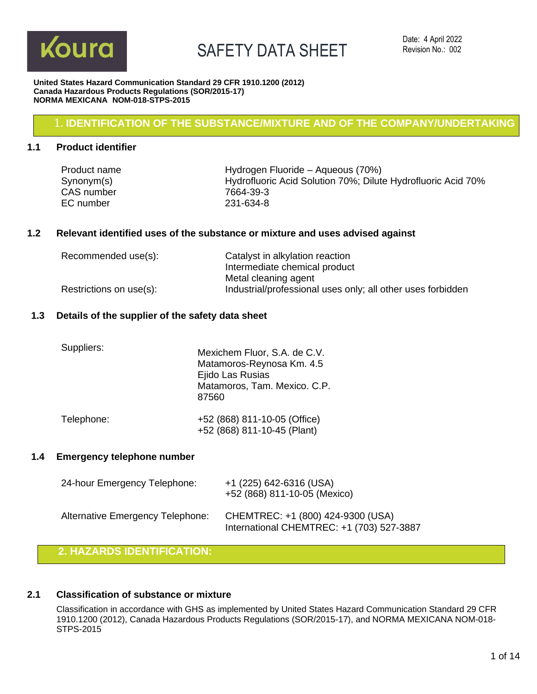

#### **United States Hazard Communication Standard 29 CFR 1910.1200 (2012) Canada Hazardous Products Regulations (SOR/2015-17) NORMA MEXICANA NOM-018-STPS-2015**

### 1. **IDENTIFICATION OF THE SUBSTANCE/MIXTURE AND OF THE COMPANY/UNDERTAKING**

### **1.1 Product identifier**

| Product name | Hydrogen Fluoride – Aqueous (70%)                            |
|--------------|--------------------------------------------------------------|
| Synonym(s)   | Hydrofluoric Acid Solution 70%; Dilute Hydrofluoric Acid 70% |
| CAS number   | 7664-39-3                                                    |
| EC number    | 231-634-8                                                    |

### **1.2 Relevant identified uses of the substance or mixture and uses advised against**

| Recommended use(s):     | Catalyst in alkylation reaction                             |
|-------------------------|-------------------------------------------------------------|
|                         | Intermediate chemical product                               |
|                         | Metal cleaning agent                                        |
| Restrictions on use(s): | Industrial/professional uses only; all other uses forbidden |

### **1.3 Details of the supplier of the safety data sheet**

| Suppliers: | Mexichem Fluor, S.A. de C.V.<br>Matamoros-Reynosa Km. 4.5<br>Ejido Las Rusias<br>Matamoros, Tam. Mexico. C.P.<br>87560 |
|------------|------------------------------------------------------------------------------------------------------------------------|
| Telephone: | +52 (868) 811-10-05 (Office)<br>+52 (868) 811-10-45 (Plant)                                                            |

### **1.4 Emergency telephone number**

| 24-hour Emergency Telephone:     | +1 (225) 642-6316 (USA)<br>+52 (868) 811-10-05 (Mexico)                        |
|----------------------------------|--------------------------------------------------------------------------------|
| Alternative Emergency Telephone: | CHEMTREC: +1 (800) 424-9300 (USA)<br>International CHEMTREC: +1 (703) 527-3887 |

### **2. HAZARDS IDENTIFICATION:**

### **2.1 Classification of substance or mixture**

Classification in accordance with GHS as implemented by United States Hazard Communication Standard 29 CFR 1910.1200 (2012), Canada Hazardous Products Regulations (SOR/2015-17), and NORMA MEXICANA NOM-018- STPS-2015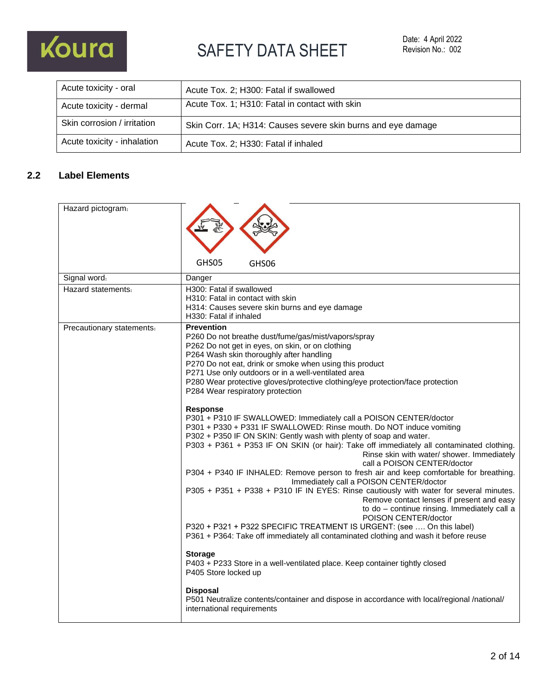

| Acute toxicity - oral       | Acute Tox. 2; H300: Fatal if swallowed                       |
|-----------------------------|--------------------------------------------------------------|
| Acute toxicity - dermal     | Acute Tox. 1; H310: Fatal in contact with skin               |
| Skin corrosion / irritation | Skin Corr. 1A; H314: Causes severe skin burns and eye damage |
| Acute toxicity - inhalation | Acute Tox. 2; H330: Fatal if inhaled                         |

### **2.2 Label Elements**

| Hazard pictogram.         |                                                                                                                                                                                                                                                                                                                                                                                                                                                                                                                                                                                                                                                                                                                                                                                                                                                                                                                                                                                                                                                                                                                                                                                                                                                                                                                                                                                                                                                                                                                                                                                                                               |
|---------------------------|-------------------------------------------------------------------------------------------------------------------------------------------------------------------------------------------------------------------------------------------------------------------------------------------------------------------------------------------------------------------------------------------------------------------------------------------------------------------------------------------------------------------------------------------------------------------------------------------------------------------------------------------------------------------------------------------------------------------------------------------------------------------------------------------------------------------------------------------------------------------------------------------------------------------------------------------------------------------------------------------------------------------------------------------------------------------------------------------------------------------------------------------------------------------------------------------------------------------------------------------------------------------------------------------------------------------------------------------------------------------------------------------------------------------------------------------------------------------------------------------------------------------------------------------------------------------------------------------------------------------------------|
|                           | GHS05<br>GHS06                                                                                                                                                                                                                                                                                                                                                                                                                                                                                                                                                                                                                                                                                                                                                                                                                                                                                                                                                                                                                                                                                                                                                                                                                                                                                                                                                                                                                                                                                                                                                                                                                |
| Signal word:              | Danger                                                                                                                                                                                                                                                                                                                                                                                                                                                                                                                                                                                                                                                                                                                                                                                                                                                                                                                                                                                                                                                                                                                                                                                                                                                                                                                                                                                                                                                                                                                                                                                                                        |
| Hazard statements:        | H300: Fatal if swallowed<br>H310: Fatal in contact with skin<br>H314: Causes severe skin burns and eye damage<br>H330: Fatal if inhaled                                                                                                                                                                                                                                                                                                                                                                                                                                                                                                                                                                                                                                                                                                                                                                                                                                                                                                                                                                                                                                                                                                                                                                                                                                                                                                                                                                                                                                                                                       |
| Precautionary statements: | <b>Prevention</b><br>P260 Do not breathe dust/fume/gas/mist/vapors/spray<br>P262 Do not get in eyes, on skin, or on clothing<br>P264 Wash skin thoroughly after handling<br>P270 Do not eat, drink or smoke when using this product<br>P271 Use only outdoors or in a well-ventilated area<br>P280 Wear protective gloves/protective clothing/eye protection/face protection<br>P284 Wear respiratory protection<br><b>Response</b><br>P301 + P310 IF SWALLOWED: Immediately call a POISON CENTER/doctor<br>P301 + P330 + P331 IF SWALLOWED: Rinse mouth. Do NOT induce vomiting<br>P302 + P350 IF ON SKIN: Gently wash with plenty of soap and water.<br>P303 + P361 + P353 IF ON SKIN (or hair): Take off immediately all contaminated clothing.<br>Rinse skin with water/ shower. Immediately<br>call a POISON CENTER/doctor<br>P304 + P340 IF INHALED: Remove person to fresh air and keep comfortable for breathing.<br>Immediately call a POISON CENTER/doctor<br>P305 + P351 + P338 + P310 IF IN EYES: Rinse cautiously with water for several minutes.<br>Remove contact lenses if present and easy<br>to do - continue rinsing. Immediately call a<br>POISON CENTER/doctor<br>P320 + P321 + P322 SPECIFIC TREATMENT IS URGENT: (see  On this label)<br>P361 + P364: Take off immediately all contaminated clothing and wash it before reuse<br><b>Storage</b><br>P403 + P233 Store in a well-ventilated place. Keep container tightly closed<br>P405 Store locked up<br><b>Disposal</b><br>P501 Neutralize contents/container and dispose in accordance with local/regional /national/<br>international requirements |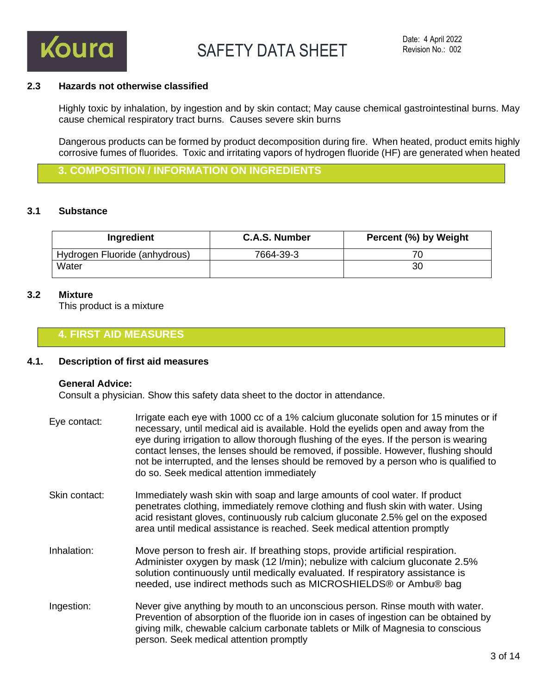

### **2.3 Hazards not otherwise classified**

Highly toxic by inhalation, by ingestion and by skin contact; May cause chemical gastrointestinal burns. May cause chemical respiratory tract burns. Causes severe skin burns

Dangerous products can be formed by product decomposition during fire. When heated, product emits highly corrosive fumes of fluorides. Toxic and irritating vapors of hydrogen fluoride (HF) are generated when heated

**3. COMPOSITION / INFORMATION ON INGREDIENTS**

### **3.1 Substance**

| Ingredient                    | C.A.S. Number | Percent (%) by Weight |
|-------------------------------|---------------|-----------------------|
| Hydrogen Fluoride (anhydrous) | 7664-39-3     |                       |
| Water                         |               | 30                    |

### **3.2 Mixture**

This product is a mixture

### **4. FIRST AID MEASURES**

### **4.1. Description of first aid measures**

#### **General Advice:**

Consult a physician. Show this safety data sheet to the doctor in attendance.

- Eye contact: Irrigate each eye with 1000 cc of a 1% calcium gluconate solution for 15 minutes or if necessary, until medical aid is available. Hold the eyelids open and away from the eye during irrigation to allow thorough flushing of the eyes. If the person is wearing contact lenses, the lenses should be removed, if possible. However, flushing should not be interrupted, and the lenses should be removed by a person who is qualified to do so. Seek medical attention immediately
- Skin contact: Immediately wash skin with soap and large amounts of cool water. If product penetrates clothing, immediately remove clothing and flush skin with water. Using acid resistant gloves, continuously rub calcium gluconate 2.5% gel on the exposed area until medical assistance is reached. Seek medical attention promptly
- Inhalation: Move person to fresh air. If breathing stops, provide artificial respiration. Administer oxygen by mask (12 l/min); nebulize with calcium gluconate 2.5% solution continuously until medically evaluated. If respiratory assistance is needed, use indirect methods such as MICROSHIELDS® or Ambu® bag
- Ingestion: Never give anything by mouth to an unconscious person. Rinse mouth with water. Prevention of absorption of the fluoride ion in cases of ingestion can be obtained by giving milk, chewable calcium carbonate tablets or Milk of Magnesia to conscious person. Seek medical attention promptly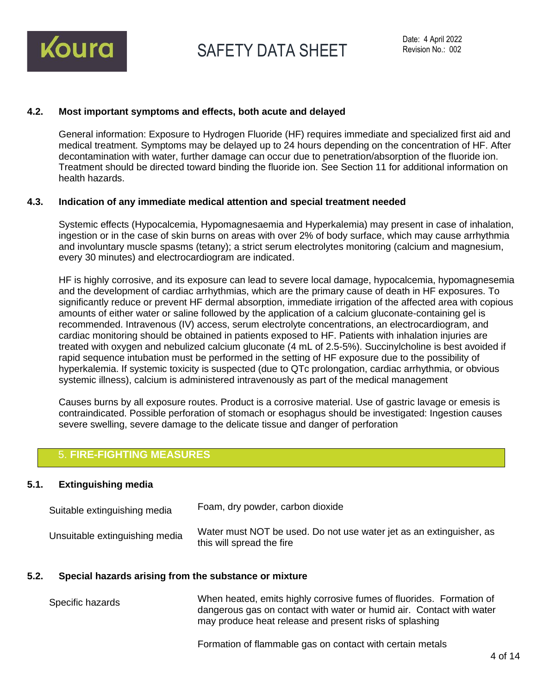

### **4.2. Most important symptoms and effects, both acute and delayed**

General information: Exposure to Hydrogen Fluoride (HF) requires immediate and specialized first aid and medical treatment. Symptoms may be delayed up to 24 hours depending on the concentration of HF. After decontamination with water, further damage can occur due to penetration/absorption of the fluoride ion. Treatment should be directed toward binding the fluoride ion. See Section 11 for additional information on health hazards.

### **4.3. Indication of any immediate medical attention and special treatment needed**

Systemic effects (Hypocalcemia, Hypomagnesaemia and Hyperkalemia) may present in case of inhalation, ingestion or in the case of skin burns on areas with over 2% of body surface, which may cause arrhythmia and involuntary muscle spasms (tetany); a strict serum electrolytes monitoring (calcium and magnesium, every 30 minutes) and electrocardiogram are indicated.

HF is highly corrosive, and its exposure can lead to severe local damage, hypocalcemia, hypomagnesemia and the development of cardiac arrhythmias, which are the primary cause of death in HF exposures. To significantly reduce or prevent HF dermal absorption, immediate irrigation of the affected area with copious amounts of either water or saline followed by the application of a calcium gluconate-containing gel is recommended. Intravenous (IV) access, serum electrolyte concentrations, an electrocardiogram, and cardiac monitoring should be obtained in patients exposed to HF. Patients with inhalation injuries are treated with oxygen and nebulized calcium gluconate (4 mL of 2.5-5%). Succinylcholine is best avoided if rapid sequence intubation must be performed in the setting of HF exposure due to the possibility of hyperkalemia. If systemic toxicity is suspected (due to QTc prolongation, cardiac arrhythmia, or obvious systemic illness), calcium is administered intravenously as part of the medical management

Causes burns by all exposure routes. Product is a corrosive material. Use of gastric lavage or emesis is contraindicated. Possible perforation of stomach or esophagus should be investigated: Ingestion causes severe swelling, severe damage to the delicate tissue and danger of perforation

### 5. **FIRE-FIGHTING MEASURES**

### **5.1. Extinguishing media**

| Suitable extinguishing media   | Foam, dry powder, carbon dioxide                                                                 |
|--------------------------------|--------------------------------------------------------------------------------------------------|
| Unsuitable extinguishing media | Water must NOT be used. Do not use water jet as an extinguisher, as<br>this will spread the fire |

### **5.2. Special hazards arising from the substance or mixture**

Specific hazards When heated, emits highly corrosive fumes of fluorides. Formation of dangerous gas on contact with water or humid air. Contact with water may produce heat release and present risks of splashing

Formation of flammable gas on contact with certain metals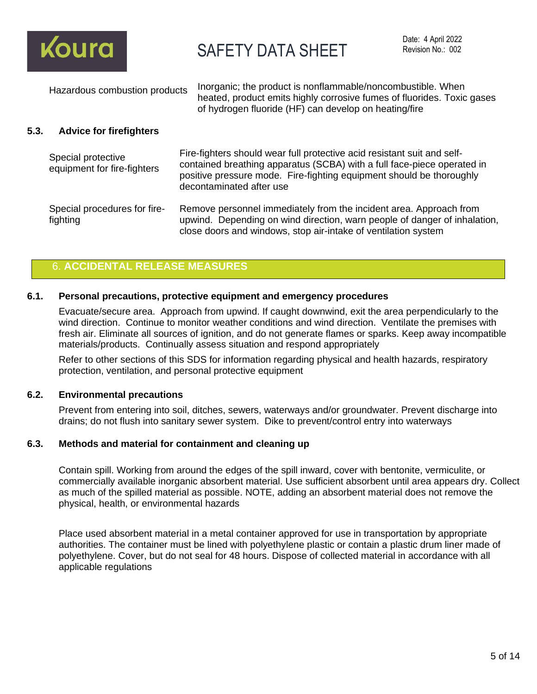

| Hazardous combustion products | Inorganic; the product is nonflammable/noncombustible. When<br>heated, product emits highly corrosive fumes of fluorides. Toxic gases<br>of hydrogen fluoride (HF) can develop on heating/fire |
|-------------------------------|------------------------------------------------------------------------------------------------------------------------------------------------------------------------------------------------|
|-------------------------------|------------------------------------------------------------------------------------------------------------------------------------------------------------------------------------------------|

### **5.3. Advice for firefighters**

| Special protective<br>equipment for fire-fighters | Fire-fighters should wear full protective acid resistant suit and self-<br>contained breathing apparatus (SCBA) with a full face-piece operated in<br>positive pressure mode. Fire-fighting equipment should be thoroughly<br>decontaminated after use |
|---------------------------------------------------|--------------------------------------------------------------------------------------------------------------------------------------------------------------------------------------------------------------------------------------------------------|
| Special procedures for fire-<br>fighting          | Remove personnel immediately from the incident area. Approach from<br>upwind. Depending on wind direction, warn people of danger of inhalation,<br>close doors and windows, stop air-intake of ventilation system                                      |

### 6. **ACCIDENTAL RELEASE MEASURES**

### **6.1. Personal precautions, protective equipment and emergency procedures**

Evacuate/secure area. Approach from upwind. If caught downwind, exit the area perpendicularly to the wind direction. Continue to monitor weather conditions and wind direction. Ventilate the premises with fresh air. Eliminate all sources of ignition, and do not generate flames or sparks. Keep away incompatible materials/products. Continually assess situation and respond appropriately

Refer to other sections of this SDS for information regarding physical and health hazards, respiratory protection, ventilation, and personal protective equipment

#### **6.2. Environmental precautions**

Prevent from entering into soil, ditches, sewers, waterways and/or groundwater. Prevent discharge into drains; do not flush into sanitary sewer system. Dike to prevent/control entry into waterways

### **6.3. Methods and material for containment and cleaning up**

Contain spill. Working from around the edges of the spill inward, cover with bentonite, vermiculite, or commercially available inorganic absorbent material. Use sufficient absorbent until area appears dry. Collect as much of the spilled material as possible. NOTE, adding an absorbent material does not remove the physical, health, or environmental hazards

Place used absorbent material in a metal container approved for use in transportation by appropriate authorities. The container must be lined with polyethylene plastic or contain a plastic drum liner made of polyethylene. Cover, but do not seal for 48 hours. Dispose of collected material in accordance with all applicable regulations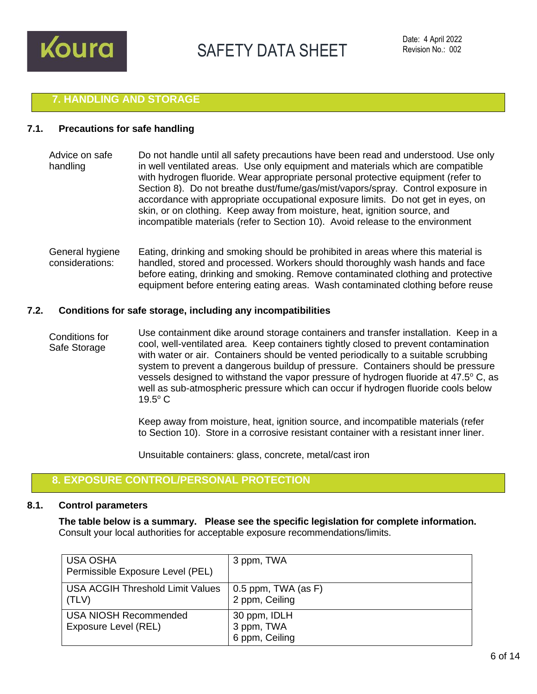

### **7. HANDLING AND STORAGE**

#### **7.1. Precautions for safe handling**

- Advice on safe handling Do not handle until all safety precautions have been read and understood. Use only in well ventilated areas. Use only equipment and materials which are compatible with hydrogen fluoride. Wear appropriate personal protective equipment (refer to Section 8). Do not breathe dust/fume/gas/mist/vapors/spray. Control exposure in accordance with appropriate occupational exposure limits. Do not get in eyes, on skin, or on clothing. Keep away from moisture, heat, ignition source, and incompatible materials (refer to Section 10). Avoid release to the environment
- General hygiene considerations: Eating, drinking and smoking should be prohibited in areas where this material is handled, stored and processed. Workers should thoroughly wash hands and face before eating, drinking and smoking. Remove contaminated clothing and protective equipment before entering eating areas. Wash contaminated clothing before reuse

#### **7.2. Conditions for safe storage, including any incompatibilities**

Conditions for Safe Storage Use containment dike around storage containers and transfer installation. Keep in a cool, well-ventilated area. Keep containers tightly closed to prevent contamination with water or air. Containers should be vented periodically to a suitable scrubbing system to prevent a dangerous buildup of pressure. Containers should be pressure vessels designed to withstand the vapor pressure of hydrogen fluoride at 47.5° C, as well as sub-atmospheric pressure which can occur if hydrogen fluoride cools below  $19.5^{\circ}$  C

> Keep away from moisture, heat, ignition source, and incompatible materials (refer to Section 10). Store in a corrosive resistant container with a resistant inner liner.

Unsuitable containers: glass, concrete, metal/cast iron

### **8. EXPOSURE CONTROL/PERSONAL PROTECTION**

#### **8.1. Control parameters**

**The table below is a summary. Please see the specific legislation for complete information.** Consult your local authorities for acceptable exposure recommendations/limits.

| <b>USA OSHA</b><br>Permissible Exposure Level (PEL)  | 3 ppm, TWA                                   |
|------------------------------------------------------|----------------------------------------------|
| <b>USA ACGIH Threshold Limit Values</b><br>(TLV)     | 0.5 ppm, TWA (as $F$ )<br>2 ppm, Ceiling     |
| <b>USA NIOSH Recommended</b><br>Exposure Level (REL) | 30 ppm, IDLH<br>3 ppm, TWA<br>6 ppm, Ceiling |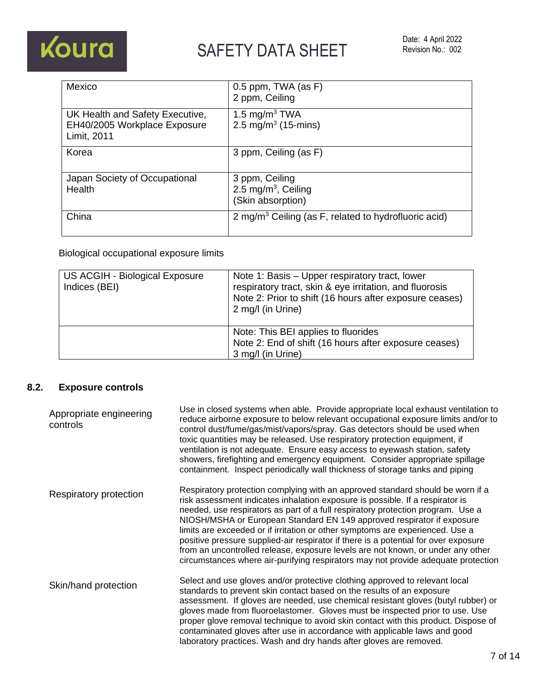

| Mexico                                                                         | 0.5 ppm, TWA (as F)<br>2 ppm, Ceiling                                  |
|--------------------------------------------------------------------------------|------------------------------------------------------------------------|
| UK Health and Safety Executive,<br>EH40/2005 Workplace Exposure<br>Limit, 2011 | 1.5 mg/m <sup>3</sup> TWA<br>2.5 mg/m <sup>3</sup> (15-mins)           |
| Korea                                                                          | 3 ppm, Ceiling (as F)                                                  |
| Japan Society of Occupational<br>Health                                        | 3 ppm, Ceiling<br>2.5 mg/m <sup>3</sup> , Ceiling<br>(Skin absorption) |
| China                                                                          | 2 mg/m <sup>3</sup> Ceiling (as F, related to hydrofluoric acid)       |

Biological occupational exposure limits

| US ACGIH - Biological Exposure<br>Indices (BEI) | Note 1: Basis – Upper respiratory tract, lower<br>respiratory tract, skin & eye irritation, and fluorosis<br>Note 2: Prior to shift (16 hours after exposure ceases)<br>2 mg/l (in Urine) |
|-------------------------------------------------|-------------------------------------------------------------------------------------------------------------------------------------------------------------------------------------------|
|                                                 | Note: This BEI applies to fluorides<br>Note 2: End of shift (16 hours after exposure ceases)<br>3 mg/l (in Urine)                                                                         |

### **8.2. Exposure controls**

| Appropriate engineering<br>controls | Use in closed systems when able. Provide appropriate local exhaust ventilation to<br>reduce airborne exposure to below relevant occupational exposure limits and/or to<br>control dust/fume/gas/mist/vapors/spray. Gas detectors should be used when<br>toxic quantities may be released. Use respiratory protection equipment, if<br>ventilation is not adequate. Ensure easy access to eyewash station, safety<br>showers, firefighting and emergency equipment. Consider appropriate spillage<br>containment. Inspect periodically wall thickness of storage tanks and piping                                                                                             |
|-------------------------------------|------------------------------------------------------------------------------------------------------------------------------------------------------------------------------------------------------------------------------------------------------------------------------------------------------------------------------------------------------------------------------------------------------------------------------------------------------------------------------------------------------------------------------------------------------------------------------------------------------------------------------------------------------------------------------|
| Respiratory protection              | Respiratory protection complying with an approved standard should be worn if a<br>risk assessment indicates inhalation exposure is possible. If a respirator is<br>needed, use respirators as part of a full respiratory protection program. Use a<br>NIOSH/MSHA or European Standard EN 149 approved respirator if exposure<br>limits are exceeded or if irritation or other symptoms are experienced. Use a<br>positive pressure supplied-air respirator if there is a potential for over exposure<br>from an uncontrolled release, exposure levels are not known, or under any other<br>circumstances where air-purifying respirators may not provide adequate protection |
| Skin/hand protection                | Select and use gloves and/or protective clothing approved to relevant local<br>standards to prevent skin contact based on the results of an exposure<br>assessment. If gloves are needed, use chemical resistant gloves (butyl rubber) or<br>gloves made from fluoroelastomer. Gloves must be inspected prior to use. Use<br>proper glove removal technique to avoid skin contact with this product. Dispose of<br>contaminated gloves after use in accordance with applicable laws and good<br>laboratory practices. Wash and dry hands after gloves are removed.                                                                                                           |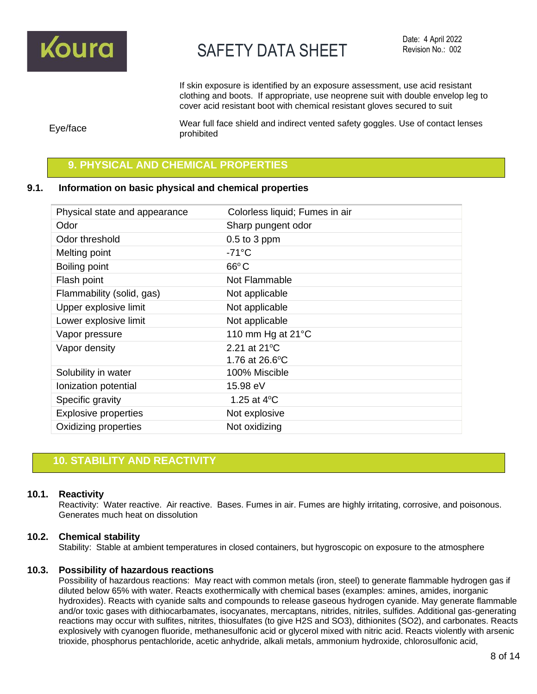

If skin exposure is identified by an exposure assessment, use acid resistant clothing and boots. If appropriate, use neoprene suit with double envelop leg to cover acid resistant boot with chemical resistant gloves secured to suit

Eye/face Wear full face shield and indirect vented safety goggles. Use of contact lenses prohibited

### **9. PHYSICAL AND CHEMICAL PROPERTIES**

### **9.1. Information on basic physical and chemical properties**

| Physical state and appearance | Colorless liquid; Fumes in air |
|-------------------------------|--------------------------------|
| Odor                          | Sharp pungent odor             |
| Odor threshold                | $0.5$ to 3 ppm                 |
| Melting point                 | $-71^{\circ}$ C                |
| Boiling point                 | $66^{\circ}$ C                 |
| Flash point                   | Not Flammable                  |
| Flammability (solid, gas)     | Not applicable                 |
| Upper explosive limit         | Not applicable                 |
| Lower explosive limit         | Not applicable                 |
| Vapor pressure                | 110 mm Hg at $21^{\circ}$ C    |
| Vapor density                 | 2.21 at 21°C                   |
|                               | 1.76 at 26.6°C                 |
| Solubility in water           | 100% Miscible                  |
| Ionization potential          | 15.98 eV                       |
| Specific gravity              | 1.25 at $4^{\circ}$ C          |
| <b>Explosive properties</b>   | Not explosive                  |
| Oxidizing properties          | Not oxidizing                  |

### **10. STABILITY AND REACTIVITY**

#### **10.1. Reactivity**

Reactivity: Water reactive. Air reactive. Bases. Fumes in air. Fumes are highly irritating, corrosive, and poisonous. Generates much heat on dissolution

#### **10.2. Chemical stability**

Stability: Stable at ambient temperatures in closed containers, but hygroscopic on exposure to the atmosphere

#### **10.3. Possibility of hazardous reactions**

Possibility of hazardous reactions: May react with common metals (iron, steel) to generate flammable hydrogen gas if diluted below 65% with water. Reacts exothermically with chemical bases (examples: amines, amides, inorganic hydroxides). Reacts with cyanide salts and compounds to release gaseous hydrogen cyanide. May generate flammable and/or toxic gases with dithiocarbamates, isocyanates, mercaptans, nitrides, nitriles, sulfides. Additional gas-generating reactions may occur with sulfites, nitrites, thiosulfates (to give H2S and SO3), dithionites (SO2), and carbonates. Reacts explosively with cyanogen fluoride, methanesulfonic acid or glycerol mixed with nitric acid. Reacts violently with arsenic trioxide, phosphorus pentachloride, acetic anhydride, alkali metals, ammonium hydroxide, chlorosulfonic acid,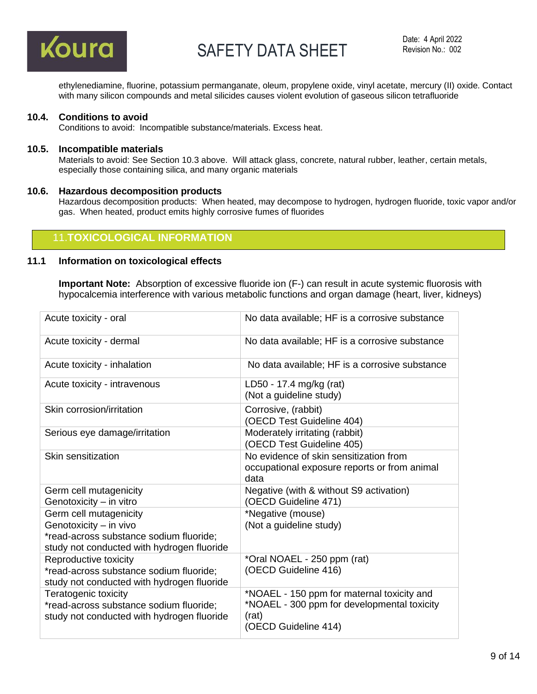

ethylenediamine, fluorine, potassium permanganate, oleum, propylene oxide, vinyl acetate, mercury (II) oxide. Contact with many silicon compounds and metal silicides causes violent evolution of gaseous silicon tetrafluoride

#### **10.4. Conditions to avoid**

Conditions to avoid: Incompatible substance/materials. Excess heat.

#### **10.5. Incompatible materials**

Materials to avoid: See Section 10.3 above. Will attack glass, concrete, natural rubber, leather, certain metals, especially those containing silica, and many organic materials

#### **10.6. Hazardous decomposition products**

Hazardous decomposition products: When heated, may decompose to hydrogen, hydrogen fluoride, toxic vapor and/or gas. When heated, product emits highly corrosive fumes of fluorides

### 11.**TOXICOLOGICAL INFORMATION**

### **11.1 Information on toxicological effects**

**Important Note:** Absorption of excessive fluoride ion (F-) can result in acute systemic fluorosis with hypocalcemia interference with various metabolic functions and organ damage (heart, liver, kidneys)

| Acute toxicity - oral                                                                                                                     | No data available; HF is a corrosive substance                                                                             |
|-------------------------------------------------------------------------------------------------------------------------------------------|----------------------------------------------------------------------------------------------------------------------------|
| Acute toxicity - dermal                                                                                                                   | No data available; HF is a corrosive substance                                                                             |
| Acute toxicity - inhalation                                                                                                               | No data available; HF is a corrosive substance                                                                             |
| Acute toxicity - intravenous                                                                                                              | LD50 - 17.4 mg/kg (rat)<br>(Not a guideline study)                                                                         |
| Skin corrosion/irritation                                                                                                                 | Corrosive, (rabbit)<br>(OECD Test Guideline 404)                                                                           |
| Serious eye damage/irritation                                                                                                             | Moderately irritating (rabbit)<br>(OECD Test Guideline 405)                                                                |
| Skin sensitization                                                                                                                        | No evidence of skin sensitization from<br>occupational exposure reports or from animal<br>data                             |
| Germ cell mutagenicity<br>Genotoxicity - in vitro                                                                                         | Negative (with & without S9 activation)<br>(OECD Guideline 471)                                                            |
| Germ cell mutagenicity<br>Genotoxicity - in vivo<br>*read-across substance sodium fluoride;<br>study not conducted with hydrogen fluoride | *Negative (mouse)<br>(Not a guideline study)                                                                               |
| Reproductive toxicity<br>*read-across substance sodium fluoride;<br>study not conducted with hydrogen fluoride                            | *Oral NOAEL - 250 ppm (rat)<br>(OECD Guideline 416)                                                                        |
| Teratogenic toxicity<br>*read-across substance sodium fluoride;<br>study not conducted with hydrogen fluoride                             | *NOAEL - 150 ppm for maternal toxicity and<br>*NOAEL - 300 ppm for developmental toxicity<br>(rat)<br>(OECD Guideline 414) |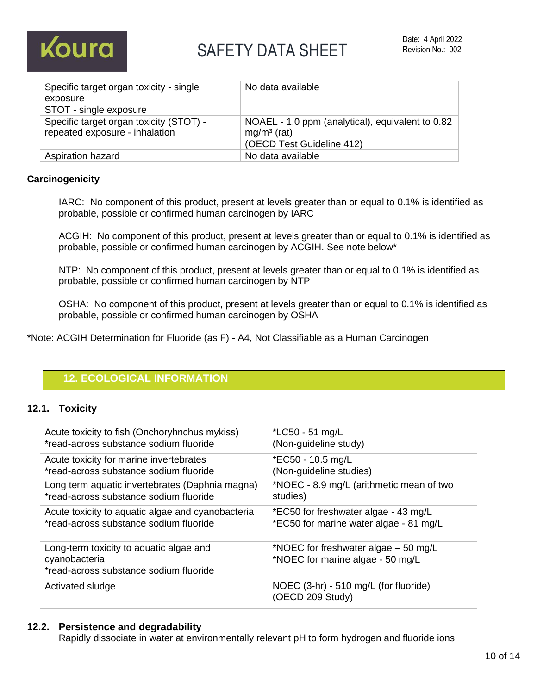

| Specific target organ toxicity - single<br>exposure<br>STOT - single exposure | No data available                                                                              |
|-------------------------------------------------------------------------------|------------------------------------------------------------------------------------------------|
| Specific target organ toxicity (STOT) -<br>repeated exposure - inhalation     | NOAEL - 1.0 ppm (analytical), equivalent to 0.82<br>$mg/m3$ (rat)<br>(OECD Test Guideline 412) |
| Aspiration hazard                                                             | No data available                                                                              |

### **Carcinogenicity**

IARC: No component of this product, present at levels greater than or equal to 0.1% is identified as probable, possible or confirmed human carcinogen by IARC

ACGIH: No component of this product, present at levels greater than or equal to 0.1% is identified as probable, possible or confirmed human carcinogen by ACGIH. See note below\*

NTP: No component of this product, present at levels greater than or equal to 0.1% is identified as probable, possible or confirmed human carcinogen by NTP

OSHA: No component of this product, present at levels greater than or equal to 0.1% is identified as probable, possible or confirmed human carcinogen by OSHA

\*Note: ACGIH Determination for Fluoride (as F) - A4, Not Classifiable as a Human Carcinogen

### **12. ECOLOGICAL INFORMATION**

### **12.1. Toxicity**

| Acute toxicity to fish (Onchoryhnchus mykiss)                                                      | *LC50 - 51 mg/L                                                          |
|----------------------------------------------------------------------------------------------------|--------------------------------------------------------------------------|
| *read-across substance sodium fluoride                                                             | (Non-guideline study)                                                    |
| Acute toxicity for marine invertebrates                                                            | *EC50 - 10.5 mg/L                                                        |
| *read-across substance sodium fluoride                                                             | (Non-guideline studies)                                                  |
| Long term aquatic invertebrates (Daphnia magna)                                                    | *NOEC - 8.9 mg/L (arithmetic mean of two                                 |
| *read-across substance sodium fluoride                                                             | studies)                                                                 |
| Acute toxicity to aquatic algae and cyanobacteria                                                  | *EC50 for freshwater algae - 43 mg/L                                     |
| *read-across substance sodium fluoride                                                             | *EC50 for marine water algae - 81 mg/L                                   |
| Long-term toxicity to aquatic algae and<br>cyanobacteria<br>*read-across substance sodium fluoride | *NOEC for freshwater algae – 50 mg/L<br>*NOEC for marine algae - 50 mg/L |
| Activated sludge                                                                                   | NOEC (3-hr) - 510 mg/L (for fluoride)<br>(OECD 209 Study)                |

### **12.2. Persistence and degradability**

Rapidly dissociate in water at environmentally relevant pH to form hydrogen and fluoride ions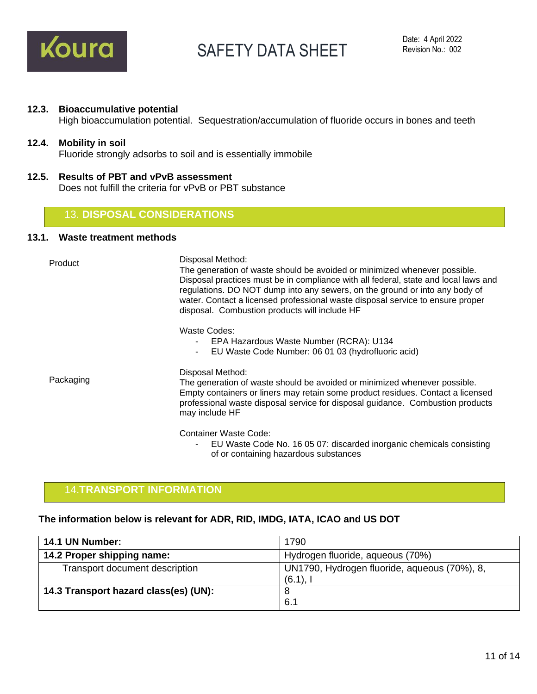

#### **12.3. Bioaccumulative potential**

High bioaccumulation potential. Sequestration/accumulation of fluoride occurs in bones and teeth

### **12.4. Mobility in soil**

Fluoride strongly adsorbs to soil and is essentially immobile

**12.5. Results of PBT and vPvB assessment** Does not fulfill the criteria for vPvB or PBT substance

### 13. **DISPOSAL CONSIDERATIONS**

### **13.1. Waste treatment methods**

| Product   | Disposal Method:<br>The generation of waste should be avoided or minimized whenever possible.<br>Disposal practices must be in compliance with all federal, state and local laws and<br>regulations. DO NOT dump into any sewers, on the ground or into any body of<br>water. Contact a licensed professional waste disposal service to ensure proper<br>disposal. Combustion products will include HF |
|-----------|--------------------------------------------------------------------------------------------------------------------------------------------------------------------------------------------------------------------------------------------------------------------------------------------------------------------------------------------------------------------------------------------------------|
|           | Waste Codes:<br>EPA Hazardous Waste Number (RCRA): U134<br>EU Waste Code Number: 06 01 03 (hydrofluoric acid)<br>$\sim$                                                                                                                                                                                                                                                                                |
| Packaging | Disposal Method:<br>The generation of waste should be avoided or minimized whenever possible.<br>Empty containers or liners may retain some product residues. Contact a licensed<br>professional waste disposal service for disposal guidance. Combustion products<br>may include HF                                                                                                                   |
|           | Container Waste Code:<br>EU Waste Code No. 16 05 07: discarded inorganic chemicals consisting                                                                                                                                                                                                                                                                                                          |

### 14.**TRANSPORT INFORMATION**

#### **The information below is relevant for ADR, RID, IMDG, IATA, ICAO and US DOT**

| 14.1 UN Number:                       | 1790                                                        |
|---------------------------------------|-------------------------------------------------------------|
| 14.2 Proper shipping name:            | Hydrogen fluoride, aqueous (70%)                            |
| Transport document description        | UN1790, Hydrogen fluoride, aqueous (70%), 8,<br>$(6.1)$ , I |
| 14.3 Transport hazard class(es) (UN): | 8                                                           |
|                                       | 6.1                                                         |

of or containing hazardous substances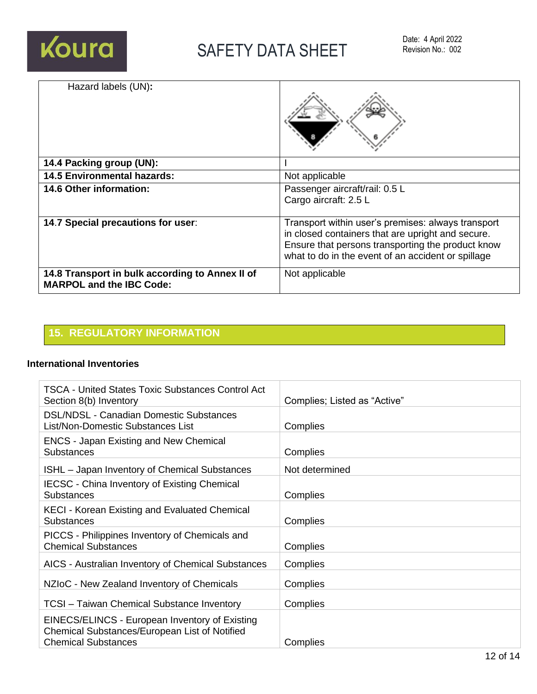

| Hazard labels (UN):                                                                |                                                                                                                                                                                                                    |
|------------------------------------------------------------------------------------|--------------------------------------------------------------------------------------------------------------------------------------------------------------------------------------------------------------------|
| 14.4 Packing group (UN):                                                           |                                                                                                                                                                                                                    |
| <b>14.5 Environmental hazards:</b>                                                 | Not applicable                                                                                                                                                                                                     |
| 14.6 Other information:                                                            | Passenger aircraft/rail: 0.5 L<br>Cargo aircraft: 2.5 L                                                                                                                                                            |
| 14.7 Special precautions for user:                                                 | Transport within user's premises: always transport<br>in closed containers that are upright and secure.<br>Ensure that persons transporting the product know<br>what to do in the event of an accident or spillage |
| 14.8 Transport in bulk according to Annex II of<br><b>MARPOL and the IBC Code:</b> | Not applicable                                                                                                                                                                                                     |

## **15. REGULATORY INFORMATION**

### **International Inventories**

| TSCA - United States Toxic Substances Control Act<br>Section 8(b) Inventory                                                   | Complies; Listed as "Active" |
|-------------------------------------------------------------------------------------------------------------------------------|------------------------------|
| <b>DSL/NDSL - Canadian Domestic Substances</b><br>List/Non-Domestic Substances List                                           | Complies                     |
| <b>ENCS - Japan Existing and New Chemical</b><br><b>Substances</b>                                                            | Complies                     |
| <b>ISHL</b> – Japan Inventory of Chemical Substances                                                                          | Not determined               |
| <b>IECSC - China Inventory of Existing Chemical</b><br>Substances                                                             | Complies                     |
| <b>KECI - Korean Existing and Evaluated Chemical</b><br><b>Substances</b>                                                     | Complies                     |
| PICCS - Philippines Inventory of Chemicals and<br><b>Chemical Substances</b>                                                  | Complies                     |
| AICS - Australian Inventory of Chemical Substances                                                                            | Complies                     |
| NZIoC - New Zealand Inventory of Chemicals                                                                                    | Complies                     |
| <b>TCSI</b> - Taiwan Chemical Substance Inventory                                                                             | Complies                     |
| EINECS/ELINCS - European Inventory of Existing<br>Chemical Substances/European List of Notified<br><b>Chemical Substances</b> | Complies                     |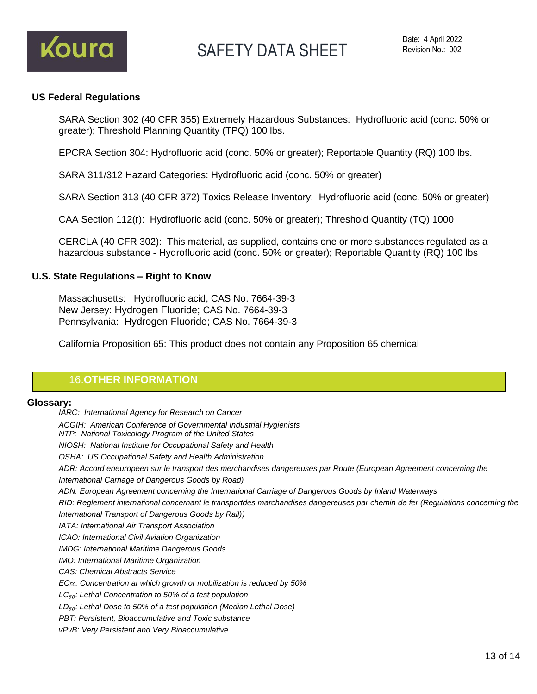

### **US Federal Regulations**

SARA Section 302 (40 CFR 355) Extremely Hazardous Substances: Hydrofluoric acid (conc. 50% or greater); Threshold Planning Quantity (TPQ) 100 lbs.

EPCRA Section 304: Hydrofluoric acid (conc. 50% or greater); Reportable Quantity (RQ) 100 lbs.

SARA 311/312 Hazard Categories: Hydrofluoric acid (conc. 50% or greater)

SARA Section 313 (40 CFR 372) Toxics Release Inventory: Hydrofluoric acid (conc. 50% or greater)

CAA Section 112(r): Hydrofluoric acid (conc. 50% or greater); Threshold Quantity (TQ) 1000

CERCLA (40 CFR 302): This material, as supplied, contains one or more substances regulated as a hazardous substance - Hydrofluoric acid (conc. 50% or greater); Reportable Quantity (RQ) 100 lbs

### **U.S. State Regulations – Right to Know**

Massachusetts: Hydrofluoric acid, CAS No. 7664-39-3 New Jersey: Hydrogen Fluoride; CAS No. 7664-39-3 Pennsylvania: Hydrogen Fluoride; CAS No. 7664-39-3

California Proposition 65: This product does not contain any Proposition 65 chemical

### 16.**OTHER INFORMATION**

### **Glossary:**

*IARC: International Agency for Research on Cancer ACGIH: American Conference of Governmental Industrial Hygienists NTP: National Toxicology Program of the United States NIOSH: National Institute for Occupational Safety and Health OSHA: US Occupational Safety and Health Administration ADR: Accord eneuropeen sur le transport des merchandises dangereuses par Route (European Agreement concerning the International Carriage of Dangerous Goods by Road) ADN: European Agreement concerning the International Carriage of Dangerous Goods by Inland Waterways RID: Reglement international concernant le transportdes marchandises dangereuses par chemin de fer (Regulations concerning the International Transport of Dangerous Goods by Rail)) IATA: International Air Transport Association ICAO: International Civil Aviation Organization IMDG: International Maritime Dangerous Goods IMO: International Maritime Organization CAS: Chemical Abstracts Service EC50: Concentration at which growth or mobilization is reduced by 50% LC*₅₀*: Lethal Concentration to 50% of a test population LD*₅₀*: Lethal Dose to 50% of a test population (Median Lethal Dose) PBT: Persistent, Bioaccumulative and Toxic substance vPvB: Very Persistent and Very Bioaccumulative*